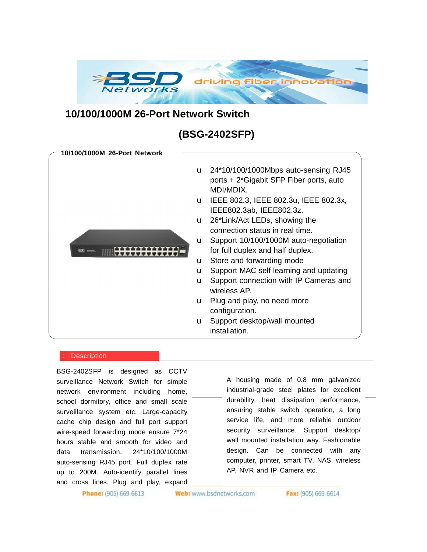

## **10/100/1000M 26-Port Network Switch**

# **(BSG-2402SFP)**

**10/100/1000M 26-Port Network**  u 24\*10/100/1000Mbps auto-sensing RJ45 ports + 2\*Gigabit SFP Fiber ports, auto MDI/MDIX. u IEEE 802.3, IEEE 802.3u, IEEE 802.3x, IEEE802.3ab, IEEE802.3z. u 26\*Link/Act LEDs, showing the connection status in real time. u Support 10/100/1000M auto-negotiation for full duplex and half duplex. u Store and forwarding mode u Support MAC self learning and updating u Support connection with IP Cameras and wireless AP. u Plug and play, no need more configuration. u Support desktop/wall mounted installation.

#### **Description**

network environment including home, BSG-2402SFP is designed as CCTV surveillance Network Switch for simple school dormitory, office and small scale surveillance system etc. Large-capacity cache chip design and full port support wire-speed forwarding mode ensure 7\*24 hours stable and smooth for video and data transmission. 24\*10/100/1000M auto-sensing RJ45 port. Full duplex rate up to 200M. Auto-identify parallel lines and cross lines. Plug and play, expand

A housing made of 0.8 mm galvanized industrial-grade steel plates for excellent durability, heat dissipation performance, ensuring stable switch operation, a long service life, and more reliable outdoor security surveillance. Support desktop/ wall mounted installation way. Fashionable design. Can be connected with any computer, printer, smart TV, NAS, wireless AP, NVR and IP Camera etc.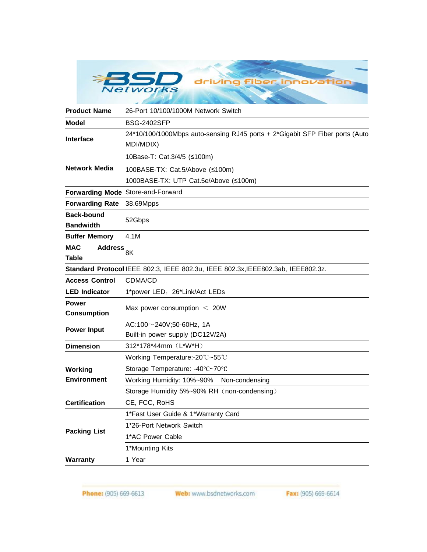

| <b>Product Name</b>                          | 26-Port 10/100/1000M Network Switch                                                       |
|----------------------------------------------|-------------------------------------------------------------------------------------------|
| Model                                        | <b>BSG-2402SFP</b>                                                                        |
| <b>Interface</b>                             | 24*10/100/1000Mbps auto-sensing RJ45 ports + 2*Gigabit SFP Fiber ports (Auto<br>MDI/MDIX) |
| Network Media                                | 10Base-T: Cat.3/4/5 (≤100m)                                                               |
|                                              | 100BASE-TX: Cat.5/Above (≤100m)                                                           |
|                                              | 1000BASE-TX: UTP Cat.5e/Above (≤100m)                                                     |
| Forwarding Mode Store-and-Forward            |                                                                                           |
| <b>Forwarding Rate</b>                       | 38.69Mpps                                                                                 |
| <b>Back-bound</b><br><b>Bandwidth</b>        | 52Gbps                                                                                    |
| <b>Buffer Memory</b>                         | 4.1M                                                                                      |
| <b>MAC</b><br><b>Address</b><br><b>Table</b> | 8K                                                                                        |
|                                              | Standard Protocol EEE 802.3, IEEE 802.3u, IEEE 802.3x, IEEE802.3ab, IEEE802.3z.           |
| <b>Access Control</b>                        | CDMA/CD                                                                                   |
| <b>LED Indicator</b>                         | 1*power LED, 26*Link/Act LEDs                                                             |
| <b>Power</b>                                 |                                                                                           |
| <b>Consumption</b>                           | Max power consumption $<$ 20W                                                             |
| <b>Power Input</b>                           | $AC:100\sim$ 240V;50-60Hz, 1A                                                             |
|                                              | Built-in power supply (DC12V/2A)                                                          |
| <b>Dimension</b>                             | 312*178*44mm (L*W*H)                                                                      |
| Working<br><b>Environment</b>                | Working Temperature:-20°C~55°C                                                            |
|                                              | Storage Temperature: -40°C~70°C                                                           |
|                                              | Working Humidity: 10%~90%<br>Non-condensing                                               |
|                                              | Storage Humidity 5%~90% RH (non-condensing)                                               |
| <b>Certification</b>                         | CE, FCC, RoHS                                                                             |
| <b>Packing List</b>                          | 1*Fast User Guide & 1*Warranty Card                                                       |
|                                              | 1*26-Port Network Switch                                                                  |
|                                              | 1*AC Power Cable                                                                          |
|                                              | 1*Mounting Kits                                                                           |
| <b>Warranty</b>                              | 1 Year                                                                                    |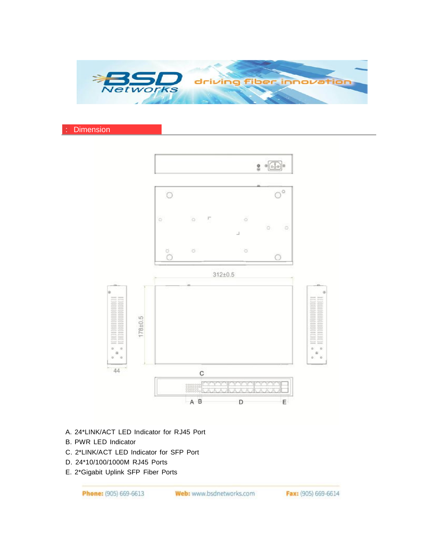

#### **Dimension**



- A. 24\*LINK/ACT LED Indicator for RJ45 Port
- B. PWR LED Indicator
- C. 2\*LINK/ACT LED Indicator for SFP Port
- D. 24\*10/100/1000M RJ45 Ports
- E. 2\*Gigabit Uplink SFP Fiber Ports

Phone: (905) 669-6613